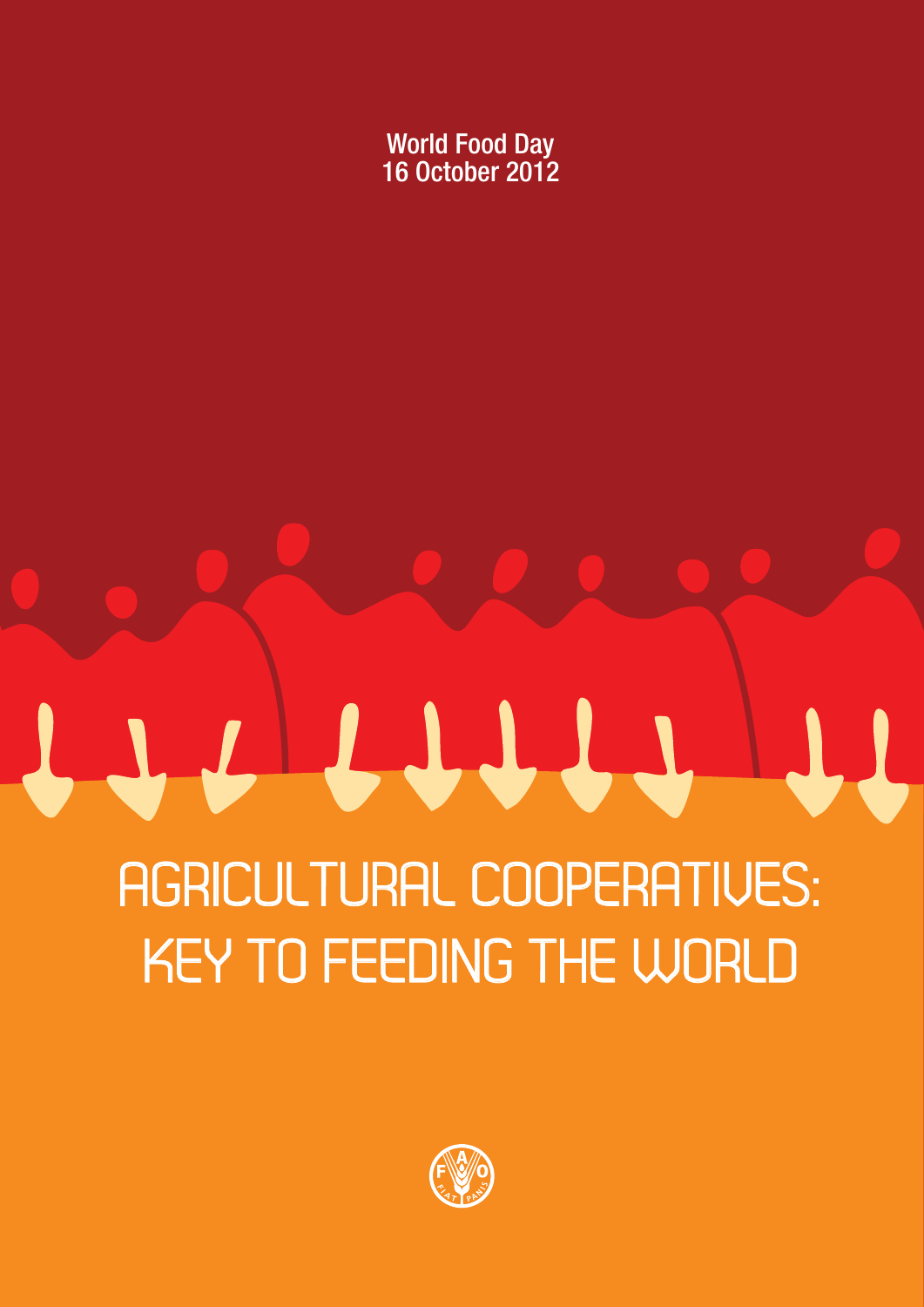World Food Day 16 October 2012

# AGRICULTURAL COOPERATIVES: KEY TO FEEDING THE WORLD

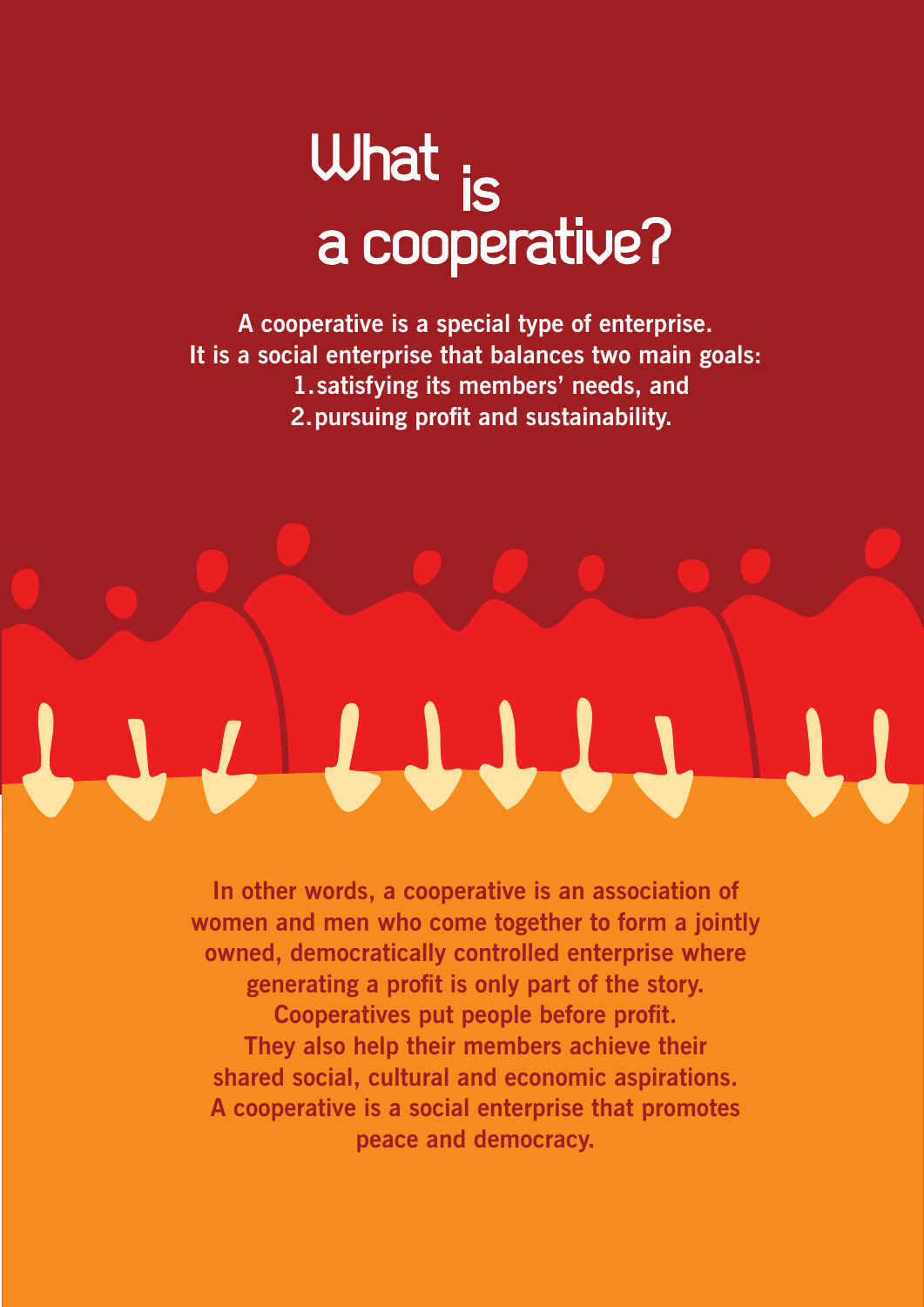## What a cooperative?

**A cooperative is a special type of enterprise. It is a social enterprise that balances two main goals: 1.satisfying its members' needs, and 2.pursuing profit and sustainability.**

**In other words, a cooperative is an association of women and men who come together to form a jointly owned, democratically controlled enterprise where generating a profit is only part of the story. Cooperatives put people before profit. They also help their members achieve their shared social, cultural and economic aspirations. A cooperative is a social enterprise that promotes peace and democracy.** 

LII.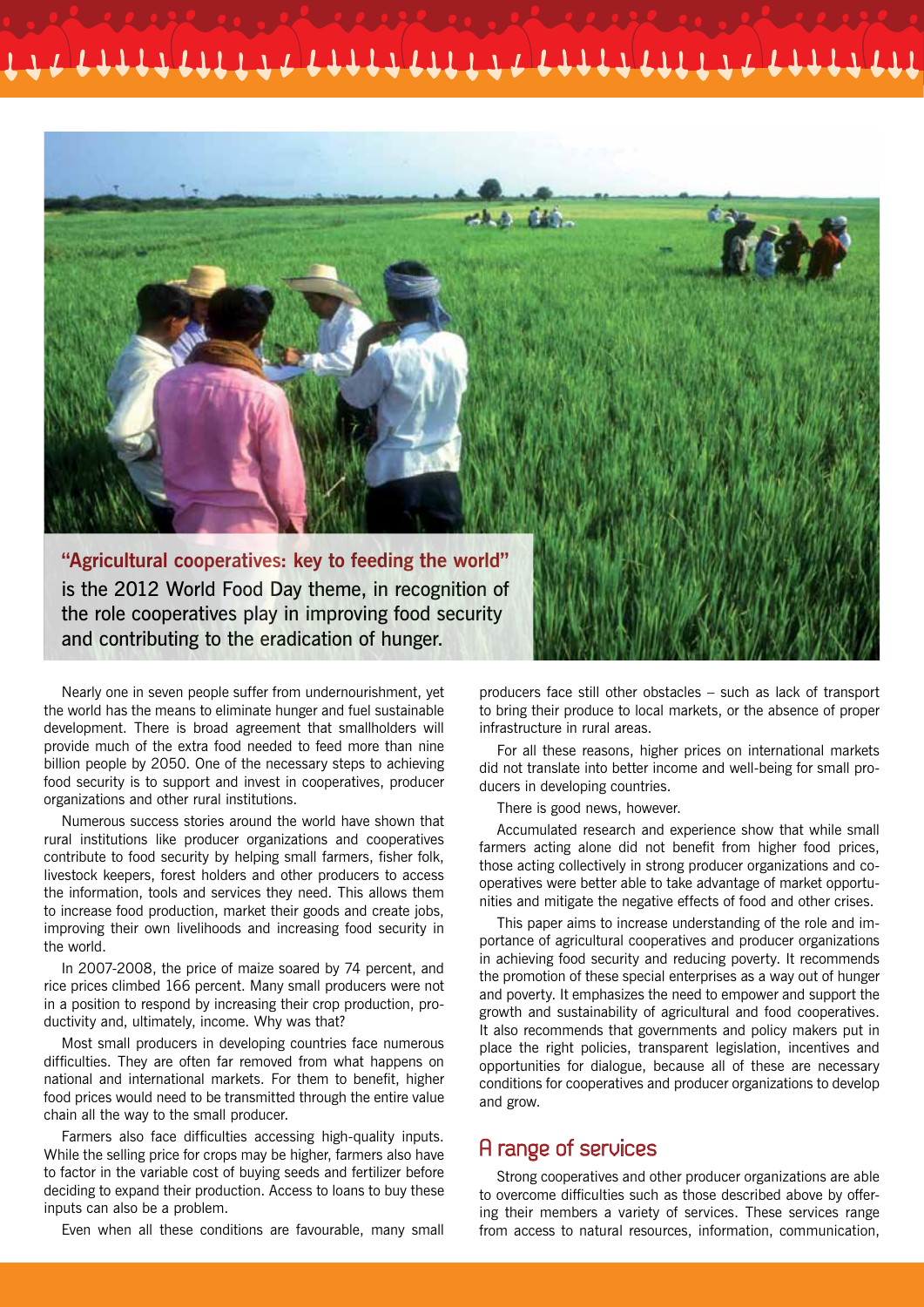

Nearly one in seven people suffer from undernourishment, yet the world has the means to eliminate hunger and fuel sustainable development. There is broad agreement that smallholders will provide much of the extra food needed to feed more than nine billion people by 2050. One of the necessary steps to achieving food security is to support and invest in cooperatives, producer organizations and other rural institutions.

Numerous success stories around the world have shown that rural institutions like producer organizations and cooperatives contribute to food security by helping small farmers, fisher folk, livestock keepers, forest holders and other producers to access the information, tools and services they need. This allows them to increase food production, market their goods and create jobs, improving their own livelihoods and increasing food security in the world.

In 2007-2008, the price of maize soared by 74 percent, and rice prices climbed 166 percent. Many small producers were not in a position to respond by increasing their crop production, productivity and, ultimately, income. Why was that?

Most small producers in developing countries face numerous difficulties. They are often far removed from what happens on national and international markets. For them to benefit, higher food prices would need to be transmitted through the entire value chain all the way to the small producer.

Farmers also face difficulties accessing high-quality inputs. While the selling price for crops may be higher, farmers also have to factor in the variable cost of buying seeds and fertilizer before deciding to expand their production. Access to loans to buy these inputs can also be a problem.

Even when all these conditions are favourable, many small

producers face still other obstacles – such as lack of transport to bring their produce to local markets, or the absence of proper infrastructure in rural areas.

For all these reasons, higher prices on international markets did not translate into better income and well-being for small producers in developing countries.

There is good news, however.

Accumulated research and experience show that while small farmers acting alone did not benefit from higher food prices, those acting collectively in strong producer organizations and cooperatives were better able to take advantage of market opportunities and mitigate the negative effects of food and other crises.

This paper aims to increase understanding of the role and importance of agricultural cooperatives and producer organizations in achieving food security and reducing poverty. It recommends the promotion of these special enterprises as a way out of hunger and poverty. It emphasizes the need to empower and support the growth and sustainability of agricultural and food cooperatives. It also recommends that governments and policy makers put in place the right policies, transparent legislation, incentives and opportunities for dialogue, because all of these are necessary conditions for cooperatives and producer organizations to develop and grow.

#### A range of services

Strong cooperatives and other producer organizations are able to overcome difficulties such as those described above by offering their members a variety of services. These services range from access to natural resources, information, communication,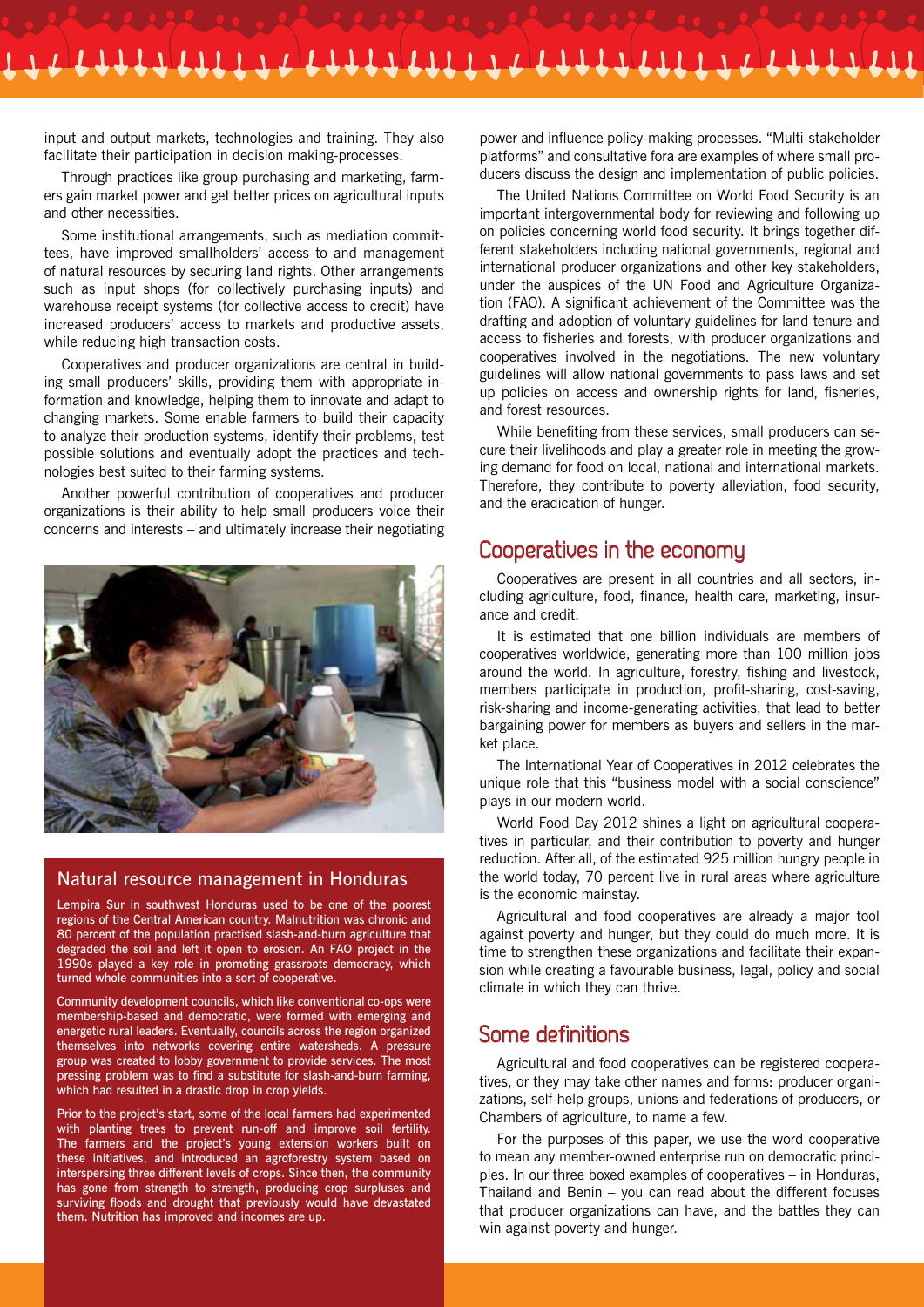input and output markets, technologies and training. They also facilitate their participation in decision making-processes.

Through practices like group purchasing and marketing, farmers gain market power and get better prices on agricultural inputs and other necessities.

Some institutional arrangements, such as mediation committees, have improved smallholders' access to and management of natural resources by securing land rights. Other arrangements such as input shops (for collectively purchasing inputs) and warehouse receipt systems (for collective access to credit) have increased producers' access to markets and productive assets, while reducing high transaction costs.

Cooperatives and producer organizations are central in building small producers' skills, providing them with appropriate information and knowledge, helping them to innovate and adapt to changing markets. Some enable farmers to build their capacity to analyze their production systems, identify their problems, test possible solutions and eventually adopt the practices and technologies best suited to their farming systems.

Another powerful contribution of cooperatives and producer organizations is their ability to help small producers voice their concerns and interests – and ultimately increase their negotiating



#### Natural resource management in Honduras

Lempira Sur in southwest Honduras used to be one of the poorest regions of the Central American country. Malnutrition was chronic and 80 percent of the population practised slash-and-burn agriculture that degraded the soil and left it open to erosion. An FAO project in the 1990s played a key role in promoting grassroots democracy, which turned whole communities into a sort of cooperative.

Community development councils, which like conventional co-ops were membership-based and democratic, were formed with emerging and energetic rural leaders. Eventually, councils across the region organized themselves into networks covering entire watersheds. A pressure group was created to lobby government to provide services. The most pressing problem was to find a substitute for slash-and-burn farming, which had resulted in a drastic drop in crop yields.

Prior to the project's start, some of the local farmers had experimented with planting trees to prevent run-off and improve soil fertility. The farmers and the project's young extension workers built on these initiatives, and introduced an agroforestry system based on interspersing three different levels of crops. Since then, the community has gone from strength to strength, producing crop surpluses and surviving floods and drought that previously would have devastated them. Nutrition has improved and incomes are up.

power and influence policy-making processes. "Multi-stakeholder platforms" and consultative fora are examples of where small producers discuss the design and implementation of public policies.

The United Nations Committee on World Food Security is an important intergovernmental body for reviewing and following up on policies concerning world food security. It brings together different stakeholders including national governments, regional and international producer organizations and other key stakeholders, under the auspices of the UN Food and Agriculture Organization (FAO). A significant achievement of the Committee was the drafting and adoption of voluntary guidelines for land tenure and access to fisheries and forests, with producer organizations and cooperatives involved in the negotiations. The new voluntary guidelines will allow national governments to pass laws and set up policies on access and ownership rights for land, fisheries, and forest resources.

While benefiting from these services, small producers can secure their livelihoods and play a greater role in meeting the growing demand for food on local, national and international markets. Therefore, they contribute to poverty alleviation, food security, and the eradication of hunger.

#### Cooperatives in the economy

Cooperatives are present in all countries and all sectors, including agriculture, food, finance, health care, marketing, insurance and credit.

It is estimated that one billion individuals are members of cooperatives worldwide, generating more than 100 million jobs around the world. In agriculture, forestry, fishing and livestock, members participate in production, profit-sharing, cost-saving, risk-sharing and income-generating activities, that lead to better bargaining power for members as buyers and sellers in the market place.

The International Year of Cooperatives in 2012 celebrates the unique role that this "business model with a social conscience" plays in our modern world.

World Food Day 2012 shines a light on agricultural cooperatives in particular, and their contribution to poverty and hunger reduction. After all, of the estimated 925 million hungry people in the world today, 70 percent live in rural areas where agriculture is the economic mainstay.

Agricultural and food cooperatives are already a major tool against poverty and hunger, but they could do much more. It is time to strengthen these organizations and facilitate their expansion while creating a favourable business, legal, policy and social climate in which they can thrive.

#### Some definitions

Agricultural and food cooperatives can be registered cooperatives, or they may take other names and forms: producer organizations, self-help groups, unions and federations of producers, or Chambers of agriculture, to name a few.

For the purposes of this paper, we use the word cooperative to mean any member-owned enterprise run on democratic principles. In our three boxed examples of cooperatives – in Honduras, Thailand and Benin – you can read about the different focuses that producer organizations can have, and the battles they can win against poverty and hunger.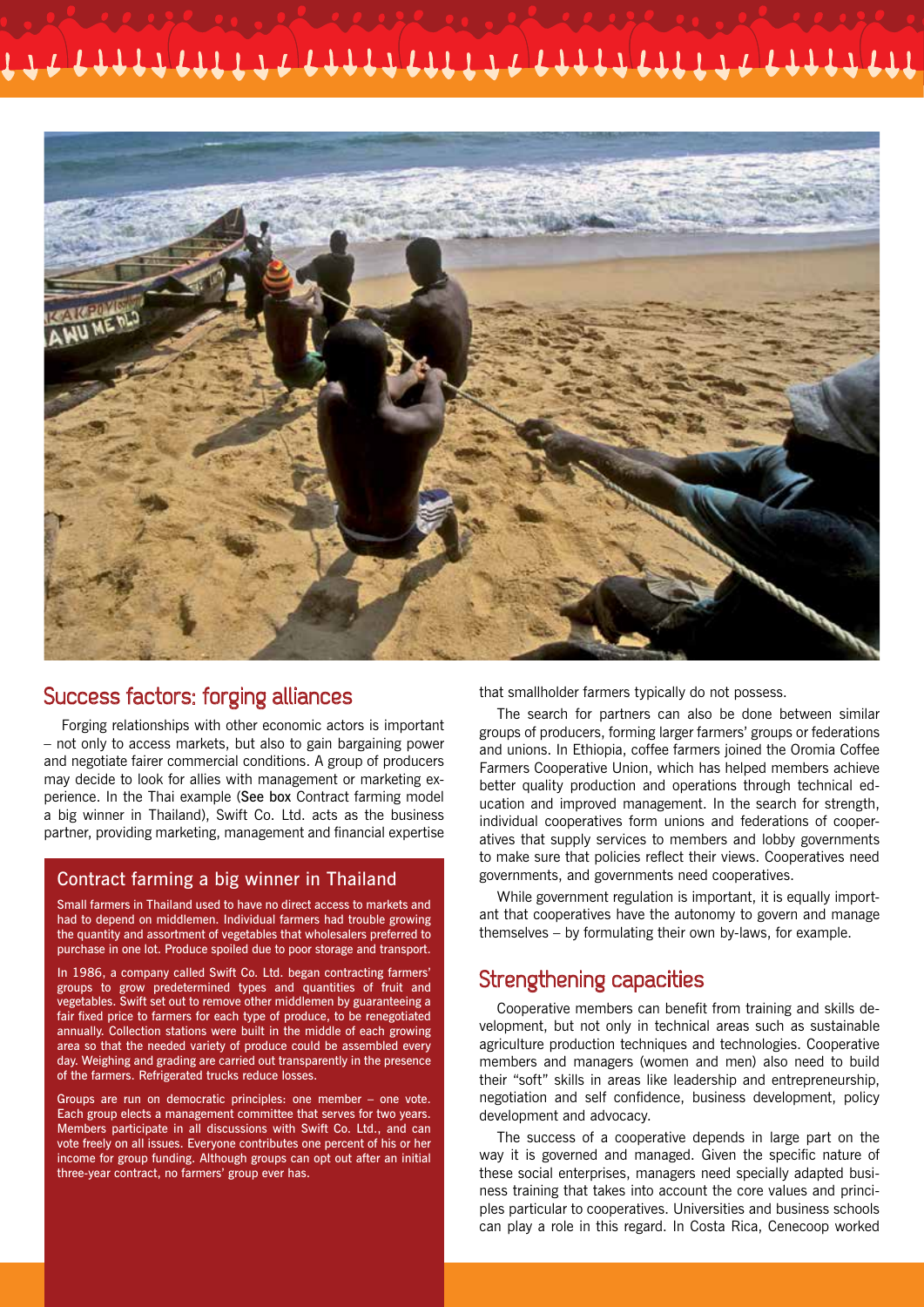

#### Success factors: forging alliances

Forging relationships with other economic actors is important – not only to access markets, but also to gain bargaining power and negotiate fairer commercial conditions. A group of producers may decide to look for allies with management or marketing experience. In the Thai example (See box Contract farming model a big winner in Thailand), Swift Co. Ltd. acts as the business partner, providing marketing, management and financial expertise

#### Contract farming a big winner in Thailand

Small farmers in Thailand used to have no direct access to markets and had to depend on middlemen. Individual farmers had trouble growing the quantity and assortment of vegetables that wholesalers preferred to purchase in one lot. Produce spoiled due to poor storage and transport.

In 1986, a company called Swift Co. Ltd. began contracting farmers' groups to grow predetermined types and quantities of fruit and vegetables. Swift set out to remove other middlemen by guaranteeing a fair fixed price to farmers for each type of produce, to be renegotiated annually. Collection stations were built in the middle of each growing area so that the needed variety of produce could be assembled every day. Weighing and grading are carried out transparently in the presence of the farmers. Refrigerated trucks reduce losses.

Groups are run on democratic principles: one member – one vote. Each group elects a management committee that serves for two years. Members participate in all discussions with Swift Co. Ltd., and can vote freely on all issues. Everyone contributes one percent of his or her income for group funding. Although groups can opt out after an initial three-year contract, no farmers' group ever has.

that smallholder farmers typically do not possess.

The search for partners can also be done between similar groups of producers, forming larger farmers' groups or federations and unions. In Ethiopia, coffee farmers joined the Oromia Coffee Farmers Cooperative Union, which has helped members achieve better quality production and operations through technical education and improved management. In the search for strength, individual cooperatives form unions and federations of cooperatives that supply services to members and lobby governments to make sure that policies reflect their views. Cooperatives need governments, and governments need cooperatives.

While government regulation is important, it is equally important that cooperatives have the autonomy to govern and manage themselves – by formulating their own by-laws, for example.

#### Strengthening capacities

Cooperative members can benefit from training and skills development, but not only in technical areas such as sustainable agriculture production techniques and technologies. Cooperative members and managers (women and men) also need to build their "soft" skills in areas like leadership and entrepreneurship, negotiation and self confidence, business development, policy development and advocacy.

The success of a cooperative depends in large part on the way it is governed and managed. Given the specific nature of these social enterprises, managers need specially adapted business training that takes into account the core values and principles particular to cooperatives. Universities and business schools can play a role in this regard. In Costa Rica, Cenecoop worked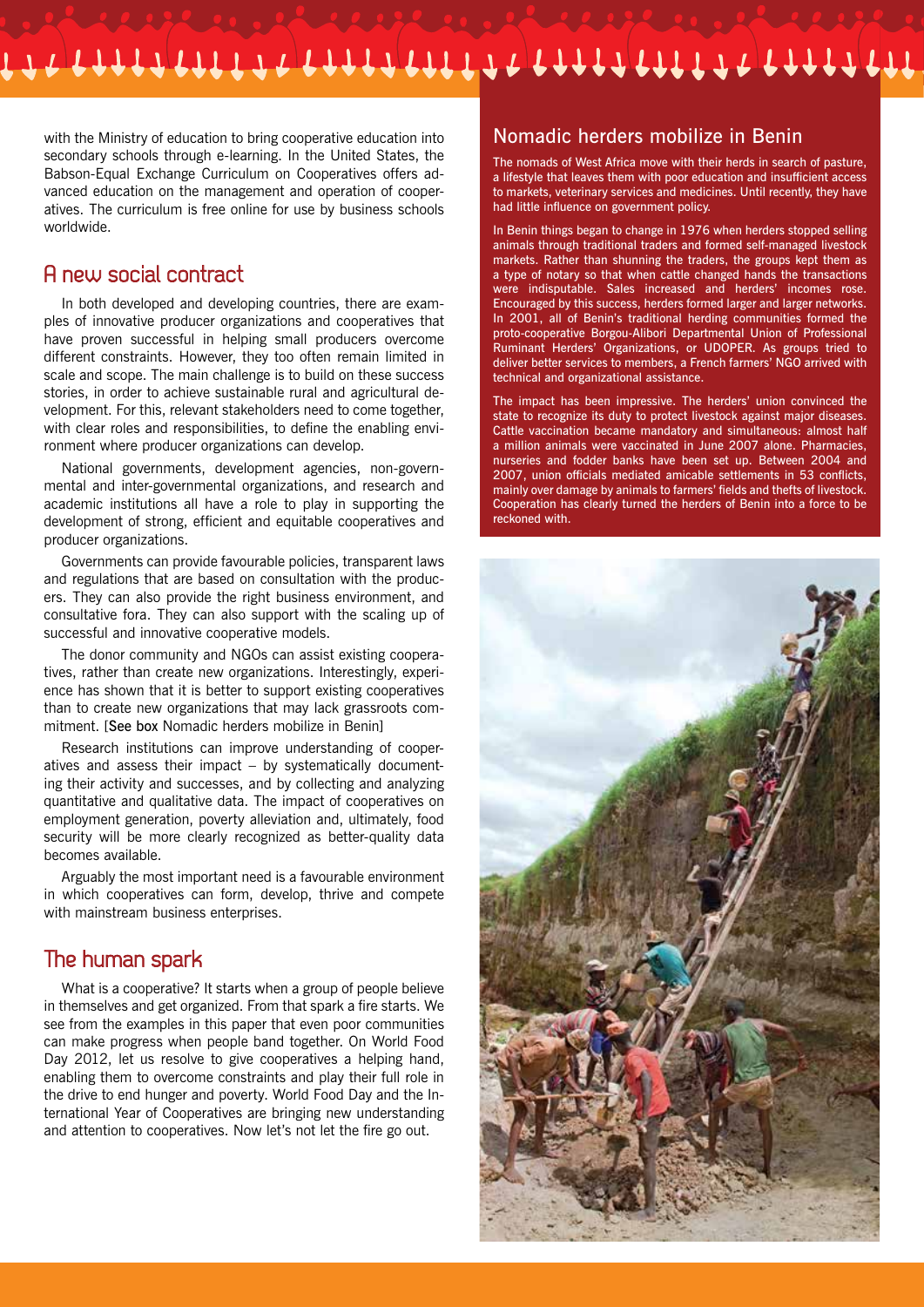with the Ministry of education to bring cooperative education into secondary schools through e-learning. In the United States, the Babson-Equal Exchange Curriculum on Cooperatives offers advanced education on the management and operation of cooperatives. The curriculum is free online for use by business schools worldwide.

#### A new social contract

In both developed and developing countries, there are examples of innovative producer organizations and cooperatives that have proven successful in helping small producers overcome different constraints. However, they too often remain limited in scale and scope. The main challenge is to build on these success stories, in order to achieve sustainable rural and agricultural development. For this, relevant stakeholders need to come together, with clear roles and responsibilities, to define the enabling environment where producer organizations can develop.

National governments, development agencies, non-governmental and inter-governmental organizations, and research and academic institutions all have a role to play in supporting the development of strong, efficient and equitable cooperatives and producer organizations.

Governments can provide favourable policies, transparent laws and regulations that are based on consultation with the producers. They can also provide the right business environment, and consultative fora. They can also support with the scaling up of successful and innovative cooperative models.

The donor community and NGOs can assist existing cooperatives, rather than create new organizations. Interestingly, experience has shown that it is better to support existing cooperatives than to create new organizations that may lack grassroots commitment. [See box Nomadic herders mobilize in Benin]

Research institutions can improve understanding of cooperatives and assess their impact – by systematically documenting their activity and successes, and by collecting and analyzing quantitative and qualitative data. The impact of cooperatives on employment generation, poverty alleviation and, ultimately, food security will be more clearly recognized as better-quality data becomes available.

Arguably the most important need is a favourable environment in which cooperatives can form, develop, thrive and compete with mainstream business enterprises.

#### The human spark

What is a cooperative? It starts when a group of people believe in themselves and get organized. From that spark a fire starts. We see from the examples in this paper that even poor communities can make progress when people band together. On World Food Day 2012, let us resolve to give cooperatives a helping hand, enabling them to overcome constraints and play their full role in the drive to end hunger and poverty. World Food Day and the International Year of Cooperatives are bringing new understanding and attention to cooperatives. Now let's not let the fire go out.

#### Nomadic herders mobilize in Benin

The nomads of West Africa move with their herds in search of pasture, a lifestyle that leaves them with poor education and insufficient access to markets, veterinary services and medicines. Until recently, they have had little influence on government policy.

In Benin things began to change in 1976 when herders stopped selling animals through traditional traders and formed self-managed livestock markets. Rather than shunning the traders, the groups kept them as a type of notary so that when cattle changed hands the transactions were indisputable. Sales increased and herders' incomes rose. Encouraged by this success, herders formed larger and larger networks. In 2001, all of Benin's traditional herding communities formed the proto-cooperative Borgou-Alibori Departmental Union of Professional Ruminant Herders' Organizations, or UDOPER. As groups tried to deliver better services to members, a French farmers' NGO arrived with technical and organizational assistance.

The impact has been impressive. The herders' union convinced the state to recognize its duty to protect livestock against major diseases. Cattle vaccination became mandatory and simultaneous: almost half a million animals were vaccinated in June 2007 alone. Pharmacies, nurseries and fodder banks have been set up. Between 2004 and 2007, union officials mediated amicable settlements in 53 conflicts, mainly over damage by animals to farmers' fields and thefts of livestock. Cooperation has clearly turned the herders of Benin into a force to be reckoned with.

![](_page_5_Picture_15.jpeg)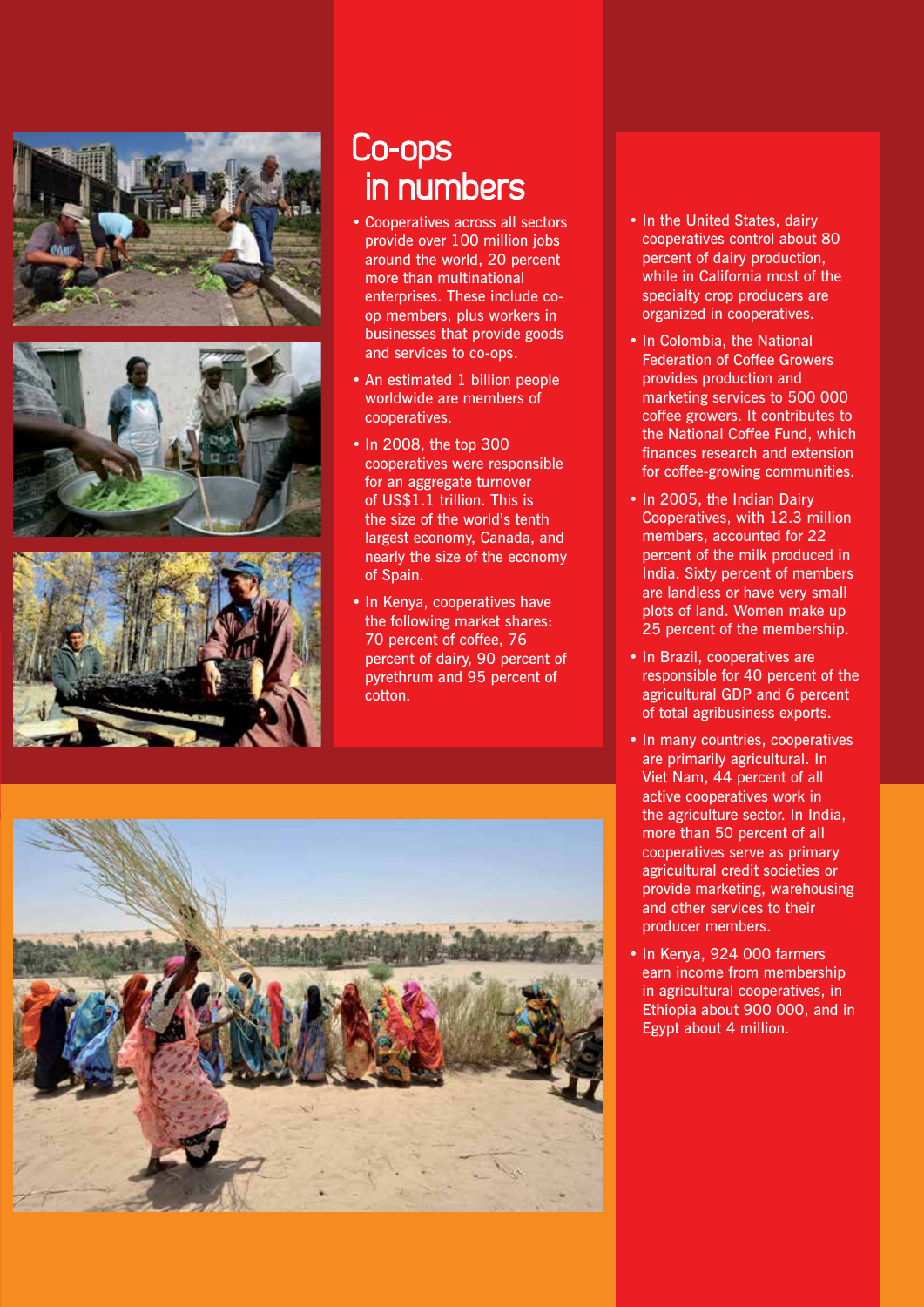![](_page_6_Picture_0.jpeg)

![](_page_6_Picture_1.jpeg)

![](_page_6_Picture_2.jpeg)

#### Co-ops in numbers

- • Cooperatives across all sectors provide over 100 million jobs around the world, 20 percent more than multinational enterprises. These include coop members, plus workers in businesses that provide goods and services to co-ops.
- An estimated 1 billion people worldwide are members of cooperatives.
- In 2008, the top 300 cooperatives were responsible for an aggregate turnover of US\$1.1 trillion. This is the size of the world's tenth largest economy, Canada, and nearly the size of the economy of Spain.
- In Kenya, cooperatives have the following market shares: 70 percent of coffee, 76 percent of dairy, 90 percent of pyrethrum and 95 percent of cotton.
- In the United States, dairy cooperatives control about 80 percent of dairy production, while in California most of the specialty crop producers are organized in cooperatives.
- In Colombia, the National Federation of Coffee Growers provides production and marketing services to 500 000 coffee growers. It contributes to the National Coffee Fund, which finances research and extension for coffee-growing communities.
- In 2005, the Indian Dairy Cooperatives, with 12.3 million members, accounted for 22 percent of the milk produced in India. Sixty percent of members are landless or have very small plots of land. Women make up 25 percent of the membership.
- In Brazil, cooperatives are responsible for 40 percent of the agricultural GDP and 6 percent of total agribusiness exports.
- In many countries, cooperatives are primarily agricultural. In Viet Nam, 44 percent of all active cooperatives work in the agriculture sector. In India, more than 50 percent of all cooperatives serve as primary agricultural credit societies or provide marketing, warehousing and other services to their producer members.
- In Kenya, 924 000 farmers earn income from membership in agricultural cooperatives, in Ethiopia about 900 000, and in Egypt about 4 million.

![](_page_6_Picture_14.jpeg)